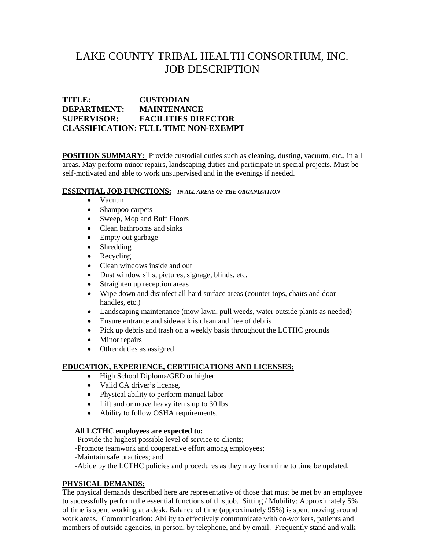# LAKE COUNTY TRIBAL HEALTH CONSORTIUM, INC. JOB DESCRIPTION

# **TITLE: CUSTODIAN DEPARTMENT: MAINTENANCE SUPERVISOR: FACILITIES DIRECTOR CLASSIFICATION: FULL TIME NON-EXEMPT**

**POSITION SUMMARY:** Provide custodial duties such as cleaning, dusting, vacuum, etc., in all areas. May perform minor repairs, landscaping duties and participate in special projects. Must be self-motivated and able to work unsupervised and in the evenings if needed.

## **ESSENTIAL JOB FUNCTIONS:** *IN ALL AREAS OF THE ORGANIZATION*

- Vacuum
- Shampoo carpets
- Sweep, Mop and Buff Floors
- Clean bathrooms and sinks
- Empty out garbage
- Shredding
- Recycling
- Clean windows inside and out
- Dust window sills, pictures, signage, blinds, etc.
- Straighten up reception areas
- Wipe down and disinfect all hard surface areas (counter tops, chairs and door handles, etc.)
- Landscaping maintenance (mow lawn, pull weeds, water outside plants as needed)
- Ensure entrance and sidewalk is clean and free of debris
- Pick up debris and trash on a weekly basis throughout the LCTHC grounds
- Minor repairs
- Other duties as assigned

## **EDUCATION, EXPERIENCE, CERTIFICATIONS AND LICENSES:**

- High School Diploma/GED or higher
- Valid CA driver's license,
- Physical ability to perform manual labor
- Lift and or move heavy items up to 30 lbs
- Ability to follow OSHA requirements.

#### **All LCTHC employees are expected to:**

-Provide the highest possible level of service to clients;

- -Promote teamwork and cooperative effort among employees;
- -Maintain safe practices; and

-Abide by the LCTHC policies and procedures as they may from time to time be updated.

## **PHYSICAL DEMANDS:**

The physical demands described here are representative of those that must be met by an employee to successfully perform the essential functions of this job. Sitting / Mobility: Approximately 5% of time is spent working at a desk. Balance of time (approximately 95%) is spent moving around work areas. Communication: Ability to effectively communicate with co-workers, patients and members of outside agencies, in person, by telephone, and by email. Frequently stand and walk